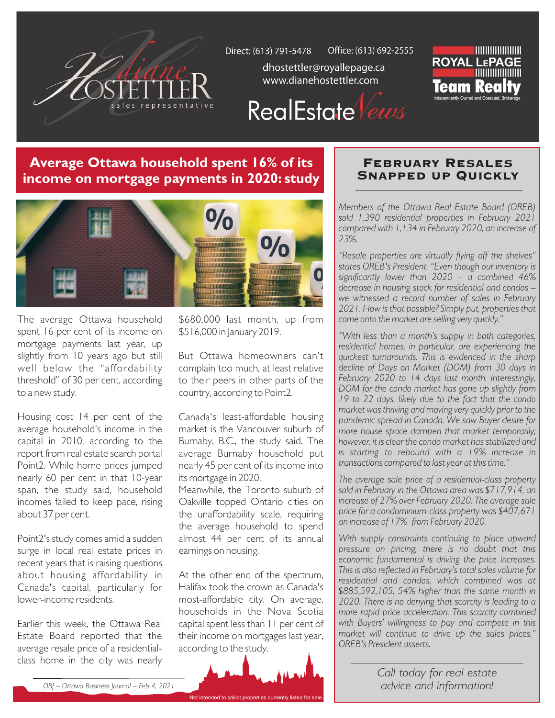

Office: (613) 692-2555 Direct: (613) 791-5478

dhostettler@royallepage.ca www.dianehostettler.com



RealEstate Vews

## **Average Ottawa household spent 16% of its income on mortgage payments in 2020: study**



The average Ottawa household spent 16 per cent of its income on mortgage payments last year, up slightly from 10 years ago but still well below the "affordability threshold" of 30 per cent, according to a new study.

Housing cost 14 per cent of the average household's income in the capital in 2010, according to the report from real estate search portal Point2. While home prices jumped nearly 60 per cent in that 10-year span, the study said, household incomes failed to keep pace, rising about 37 per cent.

Point2's study comes amid a sudden surge in local real estate prices in recent years that is raising questions about housing affordability in Canada's capital, particularly for lower-income residents.

Earlier this week, the Ottawa Real Estate Board reported that the average resale price of a residentialclass home in the city was nearly

\$680,000 last month, up from \$516,000 in January 2019.

But Ottawa homeowners can't complain too much, at least relative to their peers in other parts of the country, according to Point2.

Canada's least-affordable housing market is the Vancouver suburb of Burnaby, B.C., the study said. The average Burnaby household put nearly 45 per cent of its income into its mortgage in 2020.

Meanwhile, the Toronto suburb of Oakville topped Ontario cities on the unaffordability scale, requiring the average household to spend almost 44 per cent of its annual earnings on housing.

At the other end of the spectrum, Halifax took the crown as Canada's most-affordable city. On average, households in the Nova Scotia capital spent less than 11 per cent of their income on mortgages last year, according to the study.



## February Resales Snapped up Quickly

*Members of the Ottawa Real Estate Board (OREB) sold 1,390 residential properties in February 2021 compared with 1,134 in February 2020, an increase of 23%.*

*"Resale properties are virtually flying off the shelves" states OREB's President. "Even though our inventory is significantly lower than 2020 – a combined 46% decrease in housing stock for residential and condos – we witnessed a record number of sales in February 2021. How is that possible? Simply put, properties that come onto the market are selling very quickly."*

*"With less than a month's supply in both categories, residential homes, in particular, are experiencing the quickest turnarounds. This is evidenced in the sharp decline of Days on Market (DOM) from 30 days in February 2020 to 14 days last month. Interestingly, DOM for the condo market has gone up slightly from 19 to 22 days, likely due to the fact that the condo market was thriving and moving very quickly prior to the pandemic spread in Canada. We saw Buyer desire for more house space dampen that market temporarily; however, it is clear the condo market has stabilized and is starting to rebound with a 19% increase in transactions compared to last year at this time."*

*The average sale price of a residential-class property sold in February in the Ottawa area was \$717,914, an increase of 27% over February 2020. The average sale price for a condominium-class property was \$407,671 an increase of 17% from February 2020.* 

*With supply constraints continuing to place upward pressure on pricing, there is no doubt that this economic fundamental is driving the price increases. This is also reflected in February's total sales volume for residential and condos, which combined was at \$885,592,105, 54% higher than the same month in 2020. There is no denying that scarcity is leading to a more rapid price acceleration. This scarcity combined with Buyers' willingness to pay and compete in this market will continue to drive up the sales prices," OREB's President asserts.*

> *Call today for real estate advice and information!*

*OBJ – Ottawa Business Journal – Feb 4, 2021*

Not intended to solicit pro